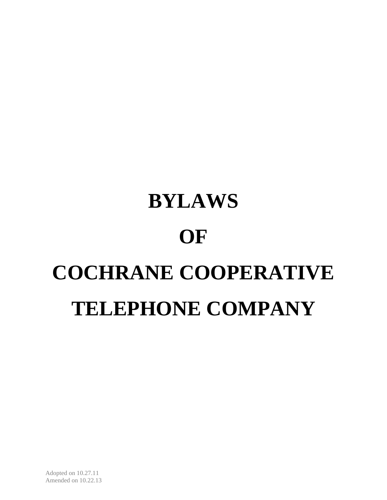# **BYLAWS OF COCHRANE COOPERATIVE TELEPHONE COMPANY**

Adopted on 10.27.11 Amended on 10.22.13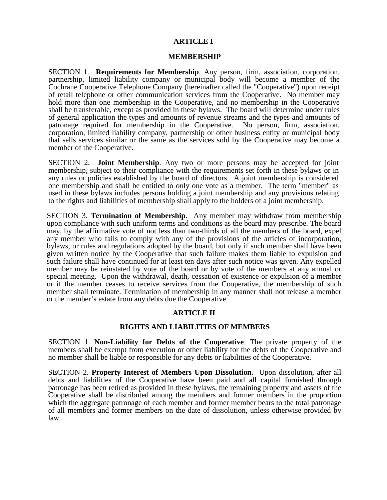# **ARTICLE I**

## **MEMBERSHIP**

SECTION 1. **Requirements for Membership**. Any person, firm, association, corporation, partnership, limited liability company or municipal body will become a member of the Cochrane Cooperative Telephone Company (hereinafter called the "Cooperative") upon receipt of retail telephone or other communication services from the Cooperative. No member may hold more than one membership in the Cooperative, and no membership in the Cooperative shall be transferable, except as provided in these bylaws. The board will determine under rules of general application the types and amounts of revenue streams and the types and amounts of patronage required for membership in the Cooperative. No person, firm, association, corporation, limited liability company, partnership or other business entity or municipal body that sells services similar or the same as the services sold by the Cooperative may become a member of the Cooperative.

SECTION 2. **Joint Membership**. Any two or more persons may be accepted for joint membership, subject to their compliance with the requirements set forth in these bylaws or in any rules or policies established by the board of directors. A joint membership is considered one membership and shall be entitled to only one vote as a member. The term "member" as used in these bylaws includes persons holding a joint membership and any provisions relating to the rights and liabilities of membership shall apply to the holders of a joint membership.

SECTION 3. **Termination of Membership**. Any member may withdraw from membership upon compliance with such uniform terms and conditions as the board may prescribe. The board may, by the affirmative vote of not less than two-thirds of all the members of the board, expel any member who fails to comply with any of the provisions of the articles of incorporation, bylaws, or rules and regulations adopted by the board, but only if such member shall have been given written notice by the Cooperative that such failure makes them liable to expulsion and such failure shall have continued for at least ten days after such notice was given. Any expelled member may be reinstated by vote of the board or by vote of the members at any annual or special meeting. Upon the withdrawal, death, cessation of existence or expulsion of a member or if the member ceases to receive services from the Cooperative, the membership of such member shall terminate. Termination of membership in any manner shall not release a member or the member's estate from any debts due the Cooperative.

# **ARTICLE II**

## **RIGHTS AND LIABILITIES OF MEMBERS**

SECTION 1. **Non-Liability for Debts of the Cooperative**. The private property of the members shall be exempt from execution or other liability for the debts of the Cooperative and no member shall be liable or responsible for any debts or liabilities of the Cooperative.

SECTION 2. **Property Interest of Members Upon Dissolution**. Upon dissolution, after all debts and liabilities of the Cooperative have been paid and all capital furnished through patronage has been retired as provided in these bylaws, the remaining property and assets of the Cooperative shall be distributed among the members and former members in the proportion which the aggregate patronage of each member and former member bears to the total patronage of all members and former members on the date of dissolution, unless otherwise provided by law.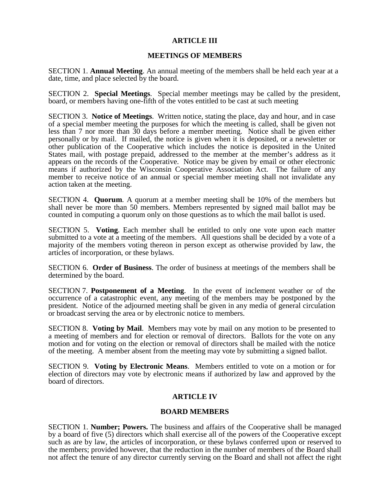# **ARTICLE III**

## **MEETINGS OF MEMBERS**

SECTION 1. **Annual Meeting**. An annual meeting of the members shall be held each year at a date, time, and place selected by the board.

SECTION 2. **Special Meetings**. Special member meetings may be called by the president, board, or members having one-fifth of the votes entitled to be cast at such meeting

SECTION 3. **Notice of Meetings**. Written notice, stating the place, day and hour, and in case of a special member meeting the purposes for which the meeting is called, shall be given not less than 7 nor more than 30 days before a member meeting. Notice shall be given either personally or by mail. If mailed, the notice is given when it is deposited, or a newsletter or other publication of the Cooperative which includes the notice is deposited in the United States mail, with postage prepaid, addressed to the member at the member's address as it appears on the records of the Cooperative. Notice may be given by email or other electronic means if authorized by the Wisconsin Cooperative Association Act. The failure of any member to receive notice of an annual or special member meeting shall not invalidate any action taken at the meeting.

SECTION 4. **Quorum**. A quorum at a member meeting shall be 10% of the members but shall never be more than 50 members. Members represented by signed mail ballot may be counted in computing a quorum only on those questions as to which the mail ballot is used.

SECTION 5. **Voting**. Each member shall be entitled to only one vote upon each matter submitted to a vote at a meeting of the members. All questions shall be decided by a vote of a majority of the members voting thereon in person except as otherwise provided by law, the articles of incorporation, or these bylaws.

SECTION 6. **Order of Business**. The order of business at meetings of the members shall be determined by the board.

SECTION 7. **Postponement of a Meeting**. In the event of inclement weather or of the occurrence of a catastrophic event, any meeting of the members may be postponed by the president. Notice of the adjourned meeting shall be given in any media of general circulation or broadcast serving the area or by electronic notice to members.

SECTION 8. **Voting by Mail**. Members may vote by mail on any motion to be presented to a meeting of members and for election or removal of directors. Ballots for the vote on any motion and for voting on the election or removal of directors shall be mailed with the notice of the meeting. A member absent from the meeting may vote by submitting a signed ballot.

SECTION 9. **Voting by Electronic Means**. Members entitled to vote on a motion or for election of directors may vote by electronic means if authorized by law and approved by the board of directors.

## **ARTICLE IV**

## **BOARD MEMBERS**

SECTION 1. **Number; Powers.** The business and affairs of the Cooperative shall be managed by a board of five (5) directors which shall exercise all of the powers of the Cooperative except such as are by law, the articles of incorporation, or these bylaws conferred upon or reserved to the members; provided however, that the reduction in the number of members of the Board shall not affect the tenure of any director currently serving on the Board and shall not affect the right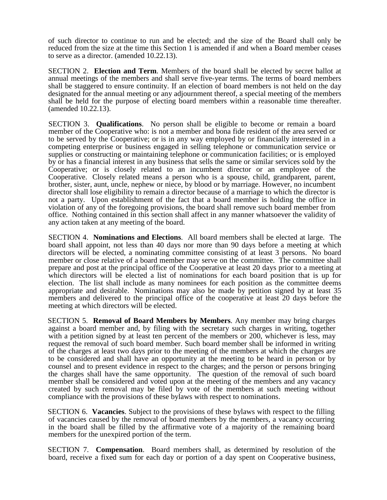of such director to continue to run and be elected; and the size of the Board shall only be reduced from the size at the time this Section 1 is amended if and when a Board member ceases to serve as a director. (amended 10.22.13).

SECTION 2. **Election and Term**. Members of the board shall be elected by secret ballot at annual meetings of the members and shall serve five-year terms. The terms of board members shall be staggered to ensure continuity. If an election of board members is not held on the day designated for the annual meeting or any adjournment thereof, a special meeting of the members shall be held for the purpose of electing board members within a reasonable time thereafter. (amended 10.22.13).

SECTION 3. **Qualifications**. No person shall be eligible to become or remain a board member of the Cooperative who: is not a member and bona fide resident of the area served or to be served by the Cooperative; or is in any way employed by or financially interested in a competing enterprise or business engaged in selling telephone or communication service or supplies or constructing or maintaining telephone or communication facilities; or is employed by or has a financial interest in any business that sells the same or similar services sold by the Cooperative; or is closely related to an incumbent director or an employee of the Cooperative. Closely related means a person who is a spouse, child, grandparent, parent, brother, sister, aunt, uncle, nephew or niece, by blood or by marriage. However, no incumbent director shall lose eligibility to remain a director because of a marriage to which the director is not a party. Upon establishment of the fact that a board member is holding the office in violation of any of the foregoing provisions, the board shall remove such board member from office. Nothing contained in this section shall affect in any manner whatsoever the validity of any action taken at any meeting of the board.

SECTION 4. **Nominations and Elections**. All board members shall be elected at large. The board shall appoint, not less than 40 days nor more than 90 days before a meeting at which directors will be elected, a nominating committee consisting of at least 3 persons. No board member or close relative of a board member may serve on the committee. The committee shall prepare and post at the principal office of the Cooperative at least 20 days prior to a meeting at which directors will be elected a list of nominations for each board position that is up for election. The list shall include as many nominees for each position as the committee deems appropriate and desirable. Nominations may also be made by petition signed by at least 35 members and delivered to the principal office of the cooperative at least 20 days before the meeting at which directors will be elected.

SECTION 5. **Removal of Board Members by Members**. Any member may bring charges against a board member and, by filing with the secretary such charges in writing, together with a petition signed by at least ten percent of the members or 200, whichever is less, may request the removal of such board member. Such board member shall be informed in writing of the charges at least two days prior to the meeting of the members at which the charges are to be considered and shall have an opportunity at the meeting to be heard in person or by counsel and to present evidence in respect to the charges; and the person or persons bringing the charges shall have the same opportunity. The question of the removal of such board member shall be considered and voted upon at the meeting of the members and any vacancy created by such removal may be filed by vote of the members at such meeting without compliance with the provisions of these bylaws with respect to nominations.

SECTION 6. **Vacancies**. Subject to the provisions of these bylaws with respect to the filling of vacancies caused by the removal of board members by the members, a vacancy occurring in the board shall be filled by the affirmative vote of a majority of the remaining board members for the unexpired portion of the term.

SECTION 7. **Compensation**. Board members shall, as determined by resolution of the board, receive a fixed sum for each day or portion of a day spent on Cooperative business,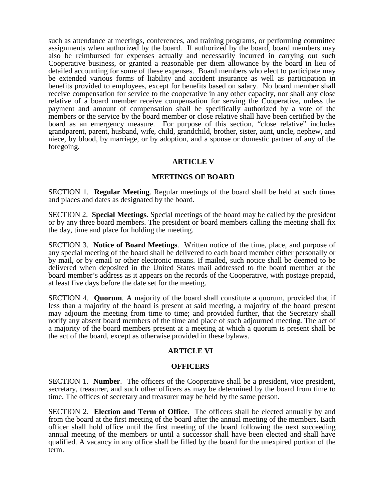such as attendance at meetings, conferences, and training programs, or performing committee assignments when authorized by the board. If authorized by the board, board members may also be reimbursed for expenses actually and necessarily incurred in carrying out such Cooperative business, or granted a reasonable per diem allowance by the board in lieu of detailed accounting for some of these expenses. Board members who elect to participate may be extended various forms of liability and accident insurance as well as participation in benefits provided to employees, except for benefits based on salary. No board member shall receive compensation for service to the cooperative in any other capacity, nor shall any close relative of a board member receive compensation for serving the Cooperative, unless the payment and amount of compensation shall be specifically authorized by a vote of the members or the service by the board member or close relative shall have been certified by the board as an emergency measure. For purpose of this section, "close relative" includes grandparent, parent, husband, wife, child, grandchild, brother, sister, aunt, uncle, nephew, and niece, by blood, by marriage, or by adoption, and a spouse or domestic partner of any of the foregoing.

## **ARTICLE V**

## **MEETINGS OF BOARD**

SECTION 1. **Regular Meeting**. Regular meetings of the board shall be held at such times and places and dates as designated by the board.

SECTION 2. **Special Meetings**. Special meetings of the board may be called by the president or by any three board members. The president or board members calling the meeting shall fix the day, time and place for holding the meeting.

SECTION 3. **Notice of Board Meetings**. Written notice of the time, place, and purpose of any special meeting of the board shall be delivered to each board member either personally or by mail, or by email or other electronic means. If mailed, such notice shall be deemed to be delivered when deposited in the United States mail addressed to the board member at the board member's address as it appears on the records of the Cooperative, with postage prepaid, at least five days before the date set for the meeting.

SECTION 4. **Quorum**. A majority of the board shall constitute a quorum, provided that if less than a majority of the board is present at said meeting, a majority of the board present may adjourn the meeting from time to time; and provided further, that the Secretary shall notify any absent board members of the time and place of such adjourned meeting. The act of a majority of the board members present at a meeting at which a quorum is present shall be the act of the board, except as otherwise provided in these bylaws.

## **ARTICLE VI**

## **OFFICERS**

SECTION 1. **Number**. The officers of the Cooperative shall be a president, vice president, secretary, treasurer, and such other officers as may be determined by the board from time to time. The offices of secretary and treasurer may be held by the same person.

SECTION 2. **Election and Term of Office**. The officers shall be elected annually by and from the board at the first meeting of the board after the annual meeting of the members. Each officer shall hold office until the first meeting of the board following the next succeeding annual meeting of the members or until a successor shall have been elected and shall have qualified. A vacancy in any office shall be filled by the board for the unexpired portion of the term.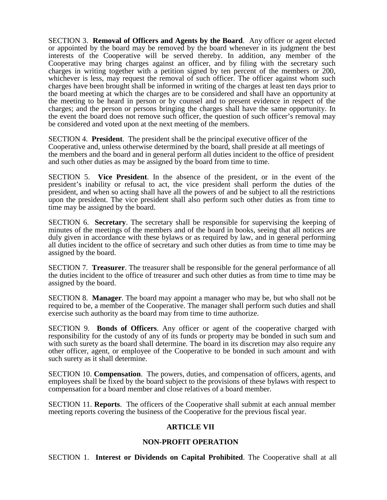SECTION 3. **Removal of Officers and Agents by the Board**. Any officer or agent elected or appointed by the board may be removed by the board whenever in its judgment the best interests of the Cooperative will be served thereby. In addition, any member of the Cooperative may bring charges against an officer, and by filing with the secretary such charges in writing together with a petition signed by ten percent of the members or 200, whichever is less, may request the removal of such officer. The officer against whom such charges have been brought shall be informed in writing of the charges at least ten days prior to the board meeting at which the charges are to be considered and shall have an opportunity at the meeting to be heard in person or by counsel and to present evidence in respect of the charges; and the person or persons bringing the charges shall have the same opportunity. In the event the board does not remove such officer, the question of such officer's removal may be considered and voted upon at the next meeting of the members.

SECTION 4. **President**. The president shall be the principal executive officer of the Cooperative and, unless otherwise determined by the board, shall preside at all meetings of the members and the board and in general perform all duties incident to the office of president and such other duties as may be assigned by the board from time to time.

SECTION 5. **Vice President**. In the absence of the president, or in the event of the president's inability or refusal to act, the vice president shall perform the duties of the president, and when so acting shall have all the powers of and be subject to all the restrictions upon the president. The vice president shall also perform such other duties as from time to time may be assigned by the board.

SECTION 6. **Secretary**. The secretary shall be responsible for supervising the keeping of minutes of the meetings of the members and of the board in books, seeing that all notices are duly given in accordance with these bylaws or as required by law, and in general performing all duties incident to the office of secretary and such other duties as from time to time may be assigned by the board.

SECTION 7. **Treasurer**. The treasurer shall be responsible for the general performance of all the duties incident to the office of treasurer and such other duties as from time to time may be assigned by the board.

SECTION 8. **Manager**. The board may appoint a manager who may be, but who shall not be required to be, a member of the Cooperative. The manager shall perform such duties and shall exercise such authority as the board may from time to time authorize.

SECTION 9. **Bonds of Officers**. Any officer or agent of the cooperative charged with responsibility for the custody of any of its funds or property may be bonded in such sum and with such surety as the board shall determine. The board in its discretion may also require any other officer, agent, or employee of the Cooperative to be bonded in such amount and with such surety as it shall determine.

SECTION 10. **Compensation**. The powers, duties, and compensation of officers, agents, and employees shall be fixed by the board subject to the provisions of these bylaws with respect to compensation for a board member and close relatives of a board member.

SECTION 11. **Reports**. The officers of the Cooperative shall submit at each annual member meeting reports covering the business of the Cooperative for the previous fiscal year.

# **ARTICLE VII**

## **NON-PROFIT OPERATION**

SECTION 1. **Interest or Dividends on Capital Prohibited**. The Cooperative shall at all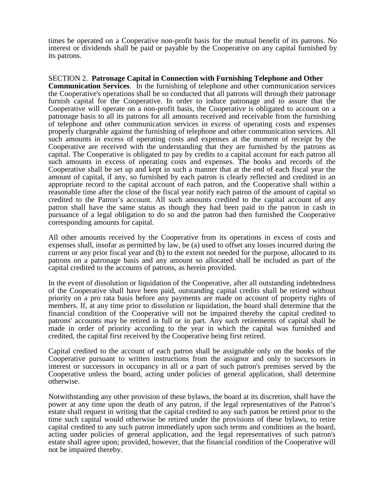times be operated on a Cooperative non-profit basis for the mutual benefit of its patrons. No interest or dividends shall be paid or payable by the Cooperative on any capital furnished by its patrons.

SECTION 2. **Patronage Capital in Connection with Furnishing Telephone and Other Communication Services**. In the furnishing of telephone and other communication services the Cooperative's operations shall be so conducted that all patrons will through their patronage furnish capital for the Cooperative. In order to induce patronage and to assure that the Cooperative will operate on a non-profit basis, the Cooperative is obligated to account on a patronage basis to all its patrons for all amounts received and receivable from the furnishing of telephone and other communication services in excess of operating costs and expenses properly chargeable against the furnishing of telephone and other communication services. All such amounts in excess of operating costs and expenses at the moment of receipt by the Cooperative are received with the understanding that they are furnished by the patrons as capital. The Cooperative is obligated to pay by credits to a capital account for each patron all such amounts in excess of operating costs and expenses. The books and records of the Cooperative shall be set up and kept in such a manner that at the end of each fiscal year the amount of capital, if any, so furnished by each patron is clearly reflected and credited in an appropriate record to the capital account of each patron, and the Cooperative shall within a reasonable time after the close of the fiscal year notify each patron of the amount of capital so credited to the Patron's account. All such amounts credited to the capital account of any patron shall have the same status as though they had been paid to the patron in cash in pursuance of a legal obligation to do so and the patron had then furnished the Cooperative corresponding amounts for capital.

All other amounts received by the Cooperative from its operations in excess of costs and expenses shall, insofar as permitted by law, be (a) used to offset any losses incurred during the current or any prior fiscal year and (b) to the extent not needed for the purpose, allocated to its patrons on a patronage basis and any amount so allocated shall be included as part of the capital credited to the accounts of patrons, as herein provided.

In the event of dissolution or liquidation of the Cooperative, after all outstanding indebtedness of the Cooperative shall have been paid, outstanding capital credits shall be retired without priority on a pro rata basis before any payments are made on account of property rights of members. If, at any time prior to dissolution or liquidation, the board shall determine that the financial condition of the Cooperative will not be impaired thereby the capital credited to patrons' accounts may be retired in full or in part. Any such retirements of capital shall be made in order of priority according to the year in which the capital was furnished and credited, the capital first received by the Cooperative being first retired.

Capital credited to the account of each patron shall be assignable only on the books of the Cooperative pursuant to written instructions from the assignor and only to successors in interest or successors in occupancy in all or a part of such patron's premises served by the Cooperative unless the board, acting under policies of general application, shall determine otherwise.

Notwithstanding any other provision of these bylaws, the board at its discretion, shall have the power at any time upon the death of any patron, if the legal representatives of the Patron's estate shall request in writing that the capital credited to any such patron be retired prior to the time such capital would otherwise be retired under the provisions of these bylaws, to retire capital credited to any such patron immediately upon such terms and conditions as the board, acting under policies of general application, and the legal representatives of such patron's estate shall agree upon; provided, however, that the financial condition of the Cooperative will not be impaired thereby.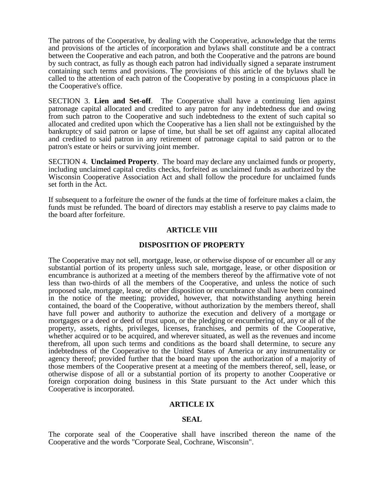The patrons of the Cooperative, by dealing with the Cooperative, acknowledge that the terms and provisions of the articles of incorporation and bylaws shall constitute and be a contract between the Cooperative and each patron, and both the Cooperative and the patrons are bound by such contract, as fully as though each patron had individually signed a separate instrument containing such terms and provisions. The provisions of this article of the bylaws shall be called to the attention of each patron of the Cooperative by posting in a conspicuous place in the Cooperative's office.

SECTION 3. **Lien and Set-off**. The Cooperative shall have a continuing lien against patronage capital allocated and credited to any patron for any indebtedness due and owing from such patron to the Cooperative and such indebtedness to the extent of such capital so allocated and credited upon which the Cooperative has a lien shall not be extinguished by the bankruptcy of said patron or lapse of time, but shall be set off against any capital allocated and credited to said patron in any retirement of patronage capital to said patron or to the patron's estate or heirs or surviving joint member.

SECTION 4. **Unclaimed Property**. The board may declare any unclaimed funds or property, including unclaimed capital credits checks, forfeited as unclaimed funds as authorized by the Wisconsin Cooperative Association Act and shall follow the procedure for unclaimed funds set forth in the Act.

If subsequent to a forfeiture the owner of the funds at the time of forfeiture makes a claim, the funds must be refunded. The board of directors may establish a reserve to pay claims made to the board after forfeiture.

## **ARTICLE VIII**

#### **DISPOSITION OF PROPERTY**

The Cooperative may not sell, mortgage, lease, or otherwise dispose of or encumber all or any substantial portion of its property unless such sale, mortgage, lease, or other disposition or encumbrance is authorized at a meeting of the members thereof by the affirmative vote of not less than two-thirds of all the members of the Cooperative, and unless the notice of such proposed sale, mortgage, lease, or other disposition or encumbrance shall have been contained in the notice of the meeting; provided, however, that notwithstanding anything herein contained, the board of the Cooperative, without authorization by the members thereof, shall have full power and authority to authorize the execution and delivery of a mortgage or mortgages or a deed or deed of trust upon, or the pledging or encumbering of, any or all of the property, assets, rights, privileges, licenses, franchises, and permits of the Cooperative, whether acquired or to be acquired, and wherever situated, as well as the revenues and income therefrom, all upon such terms and conditions as the board shall determine, to secure any indebtedness of the Cooperative to the United States of America or any instrumentality or agency thereof; provided further that the board may upon the authorization of a majority of those members of the Cooperative present at a meeting of the members thereof, sell, lease, or otherwise dispose of all or a substantial portion of its property to another Cooperative or foreign corporation doing business in this State pursuant to the Act under which this Cooperative is incorporated.

## **ARTICLE IX**

## **SEAL**

The corporate seal of the Cooperative shall have inscribed thereon the name of the Cooperative and the words "Corporate Seal, Cochrane, Wisconsin".